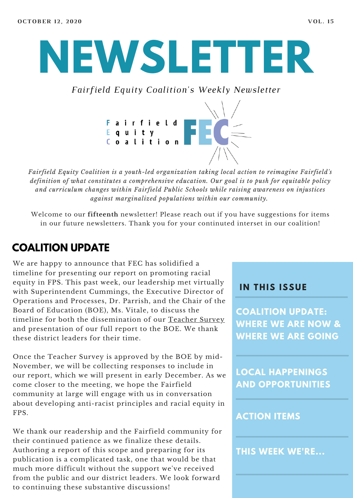# **NEWSLETTER**

*Fairfield Equity Coalition's Weekly Newsletter*



*Fairfield Equity Coalition is a youth-led organization taking local action to reimagine Fairfield's definition of what constitutes a comprehensive education. Our goal is to push for equitable policy and curriculum changes within Fairfield Public Schools while raising awareness on injustices against marginalized populations within our community.*

Welcome to our **fifteenth** newsletter! Please reach out if you have suggestions for items in our future newsletters. Thank you for your continuted interset in our coalition!

## **COALITION UPDATE**

We are happy to announce that FEC has solidified a timeline for presenting our report on promoting racial equity in FPS. This past week, our leadership met virtually with Superintendent Cummings, the Executive Director of Operations and Processes, Dr. Parrish, and the Chair of the Board of Education (BOE), Ms. Vitale, to discuss the timeline for both the dissemination of our [Teacher](https://docs.google.com/forms/d/e/1FAIpQLSdifQJcebGw4SBDf0-HPtaQuekBZpXhW8dZB85auYQIkE7g0A/viewform) Survey and presentation of our full report to the BOE. We thank these district leaders for their time.

Once the Teacher Survey is approved by the BOE by mid-November, we will be collecting responses to include in our report, which we will present in early December. As we come closer to the meeting, we hope the Fairfield community at large will engage with us in conversation about developing anti-racist principles and racial equity in FPS.

We thank our readership and the Fairfield community for their continued patience as we finalize these details. Authoring a report of this scope and preparing for its publication is a complicated task, one that would be that much more difficult without the support we've received from the public and our district leaders. We look forward to continuing these substantive discussions!

#### **I N THIS ISSUE**

**COALITION UPDATE: WHERE WE ARE NOW & WHERE WE ARE GOING**

**LOCAL HAPPENINGS AND OPPORTUNITIES**

#### **ACTION ITEMS**

**THIS WEEK WE'RE...**